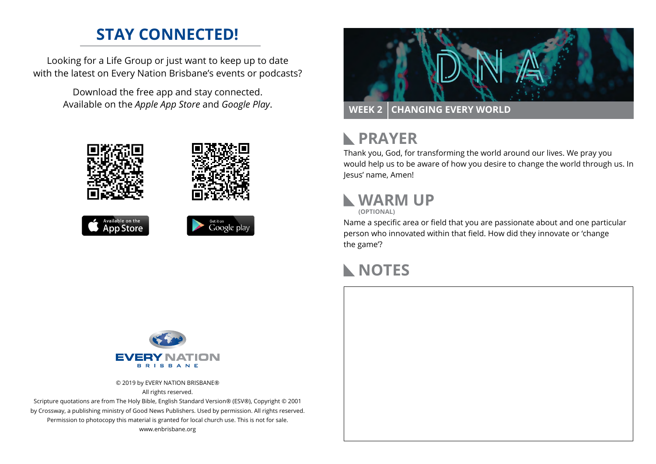#### **STAY CONNECTED!**

Looking for a Life Group or just want to keep up to date with the latest on Every Nation Brisbane's events or podcasts?

> Download the free app and stay connected. Available on the *Apple App Store* and *Google Play*.











## **RAYER**

Thank you, God, for transforming the world around our lives. We pray you would help us to be aware of how you desire to change the world through us. In Jesus' name, Amen!

## **WARM UP**

**(OPTIONAL)**

Name a specific area or field that you are passionate about and one particular person who innovated within that field. How did they innovate or 'change the game'?

#### **NOTES**



© 2019 by EVERY NATION BRISBANE® All rights reserved.

Scripture quotations are from The Holy Bible, English Standard Version® (ESV®), Copyright © 2001 by Crossway, a publishing ministry of Good News Publishers. Used by permission. All rights reserved. Permission to photocopy this material is granted for local church use. This is not for sale. www.enbrisbane.org